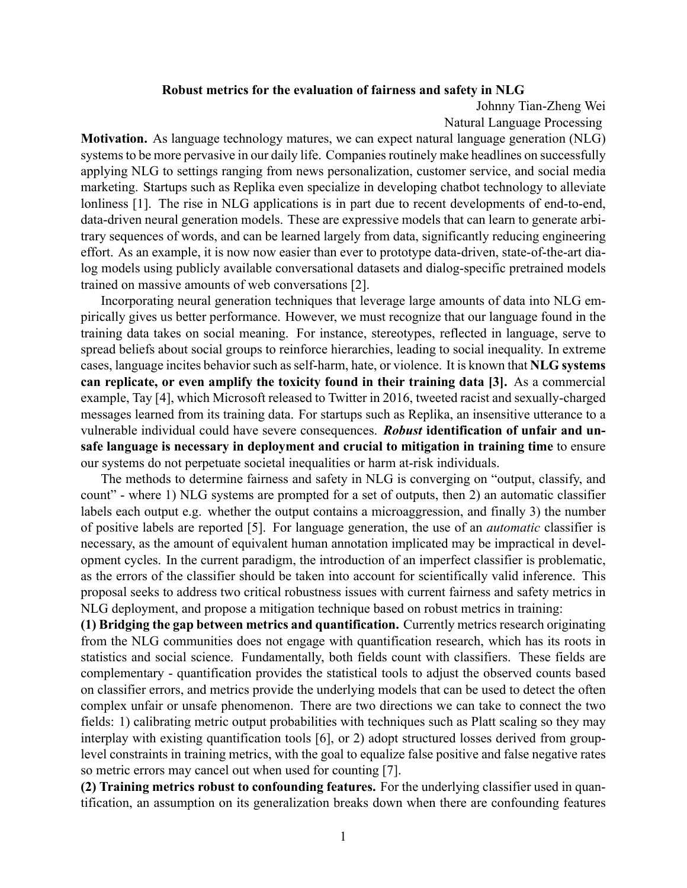## **Robust metrics for the evaluation of fairness and safety in NLG**

Johnny Tian-Zheng Wei

Natural Language Processing

**Motivation.** As language technology matures, we can expect natural language generation (NLG) systems to be more pervasive in our daily life. Companies routinely make headlines on successfully applying NLG to settings ranging from news personalization, customer service, and social media marketing. Startups such as Replika even specialize in developing chatbot technology to alleviate lonliness [1]. The rise in NLG applications is in part due to recent developments of end-to-end, data-driven neural generation models. These are expressive models that can learn to generate arbitrary sequences of words, and can be learned largely from data, significantly reducing engineering effort. As an example, it is now now easier than ever to prototype data-driven, state-of-the-art dialog models using publicly available conversational datasets and dialog-specific pretrained models trained on massive amounts of web conversations [2].

Incorporating neural generation techniques that leverage large amounts of data into NLG empirically gives us better performance. However, we must recognize that our language found in the training data takes on social meaning. For instance, stereotypes, reflected in language, serve to spread beliefs about social groups to reinforce hierarchies, leading to social inequality. In extreme cases, language incites behavior such as selfharm, hate, or violence. It is known that **NLG systems can replicate, or even amplify the toxicity found in their training data [3].** As a commercial example, Tay [4], which Microsoft released to Twitter in 2016, tweeted racist and sexually-charged messages learned from its training data. For startups such as Replika, an insensitive utterance to a vulnerable individual could have severe consequences. *Robust* **identification of unfair and unsafe language is necessary in deployment and crucial to mitigation in training time** to ensure our systems do not perpetuate societal inequalities or harm at-risk individuals.

The methods to determine fairness and safety in NLG is converging on "output, classify, and count" where 1) NLG systems are prompted for a set of outputs, then 2) an automatic classifier labels each output e.g. whether the output contains a microaggression, and finally 3) the number of positive labels are reported [5]. For language generation, the use of an *automatic* classifier is necessary, as the amount of equivalent human annotation implicated may be impractical in development cycles. In the current paradigm, the introduction of an imperfect classifier is problematic, as the errors of the classifier should be taken into account for scientifically valid inference. This proposal seeks to address two critical robustness issues with current fairness and safety metrics in NLG deployment, and propose a mitigation technique based on robust metrics in training:

**(1) Bridging the gap between metrics and quantification.** Currently metrics research originating from the NLG communities does not engage with quantification research, which has its roots in statistics and social science. Fundamentally, both fields count with classifiers. These fields are complementary - quantification provides the statistical tools to adjust the observed counts based on classifier errors, and metrics provide the underlying models that can be used to detect the often complex unfair or unsafe phenomenon. There are two directions we can take to connect the two fields: 1) calibrating metric output probabilities with techniques such as Platt scaling so they may interplay with existing quantification tools [6], or 2) adopt structured losses derived from grouplevel constraints in training metrics, with the goal to equalize false positive and false negative rates so metric errors may cancel out when used for counting [7].

**(2) Training metrics robust to confounding features.** For the underlying classifier used in quantification, an assumption on its generalization breaks down when there are confounding features